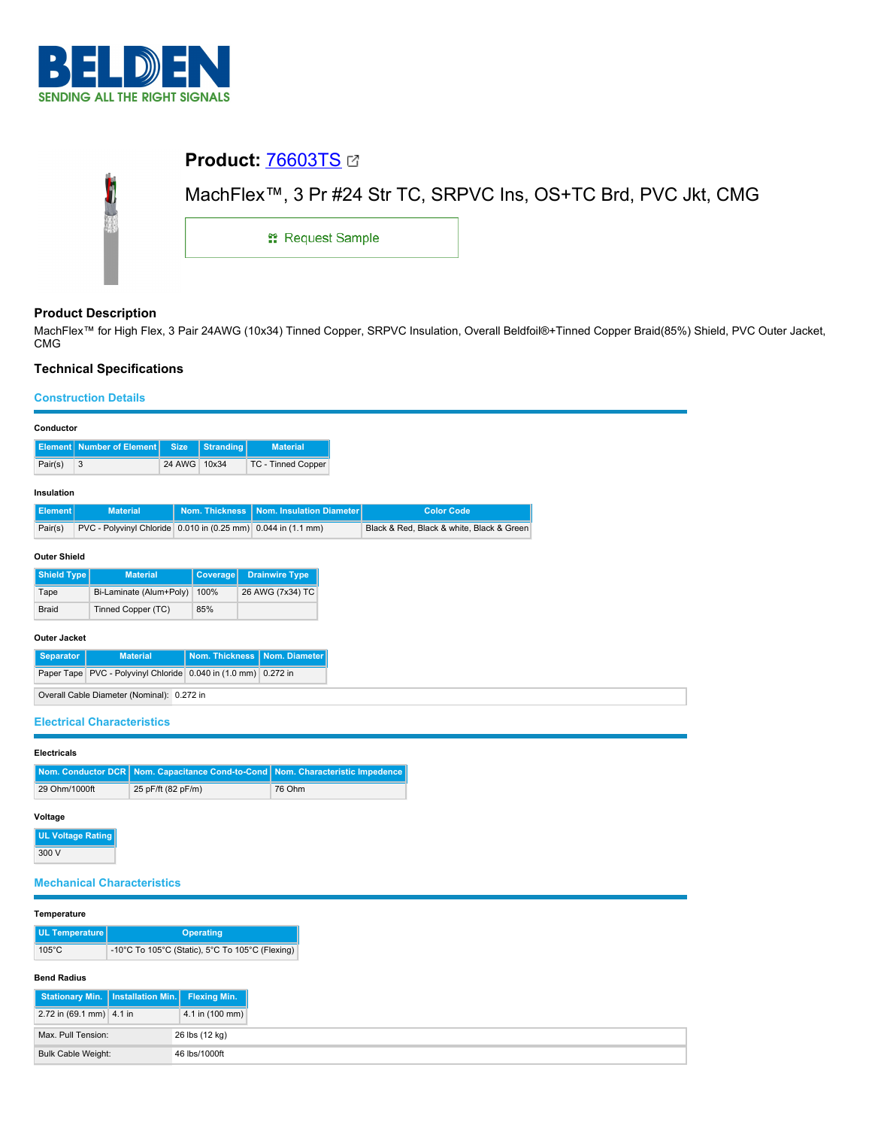

# **Product:** [76603TS](https://catalog.belden.com/index.cfm?event=pd&p=PF_76603TS&tab=downloads) Ó MachFlex™, 3 Pr #24 Str TC, SRPVC Ins, OS+TC Brd, PVC Jkt, CMG **::** Request Sample

## **Product Description**

MachFlex™ for High Flex, 3 Pair 24AWG (10x34) Tinned Copper, SRPVC Insulation, Overall Beldfoil®+Tinned Copper Braid(85%) Shield, PVC Outer Jacket, CMG

# **Technical Specifications**

Max. Pull Tension: 26 lbs (12 kg) Bulk Cable Weight: 46 lbs/1000ft

## **Construction Details**

| Conductor                                                                  |                         |                                            |                    |                                                 |                                                               |  |                                           |  |  |
|----------------------------------------------------------------------------|-------------------------|--------------------------------------------|--------------------|-------------------------------------------------|---------------------------------------------------------------|--|-------------------------------------------|--|--|
|                                                                            |                         | <b>Element</b> Number of Element           | <b>Size</b>        | <b>Stranding</b>                                | <b>Material</b>                                               |  |                                           |  |  |
| Pair(s)                                                                    | 3                       |                                            | 24 AWG 10x34       |                                                 | TC - Tinned Copper                                            |  |                                           |  |  |
| Insulation                                                                 |                         |                                            |                    |                                                 |                                                               |  |                                           |  |  |
| <b>Element</b>                                                             |                         | <b>Material</b>                            |                    | Nom. Thickness                                  | Nom. Insulation Diameter                                      |  |                                           |  |  |
| Pair(s)                                                                    |                         |                                            |                    |                                                 | PVC - Polyvinyl Chloride 0.010 in (0.25 mm) 0.044 in (1.1 mm) |  | Black & Red, Black & white, Black & Green |  |  |
| <b>Outer Shield</b>                                                        |                         |                                            |                    |                                                 |                                                               |  |                                           |  |  |
| <b>Shield Type</b><br><b>Drainwire Type</b><br><b>Material</b><br>Coverage |                         |                                            |                    |                                                 |                                                               |  |                                           |  |  |
| Tape                                                                       | Bi-Laminate (Alum+Poly) |                                            |                    | 100%                                            | 26 AWG (7x34) TC                                              |  |                                           |  |  |
| <b>Braid</b>                                                               |                         | Tinned Copper (TC)                         |                    | 85%                                             |                                                               |  |                                           |  |  |
| <b>Outer Jacket</b>                                                        |                         |                                            |                    |                                                 |                                                               |  |                                           |  |  |
| <b>Material</b><br>Nom. Thickness<br>Nom. Diameter<br><b>Separator</b>     |                         |                                            |                    |                                                 |                                                               |  |                                           |  |  |
| Paper Tape PVC - Polyvinyl Chloride 0.040 in (1.0 mm) 0.272 in             |                         |                                            |                    |                                                 |                                                               |  |                                           |  |  |
|                                                                            |                         | Overall Cable Diameter (Nominal): 0.272 in |                    |                                                 |                                                               |  |                                           |  |  |
|                                                                            |                         |                                            |                    |                                                 |                                                               |  |                                           |  |  |
|                                                                            |                         | <b>Electrical Characteristics</b>          |                    |                                                 |                                                               |  |                                           |  |  |
| <b>Electricals</b>                                                         |                         |                                            |                    |                                                 |                                                               |  |                                           |  |  |
| Nom. Conductor DCR                                                         |                         |                                            |                    | Nom. Capacitance Cond-to-Cond                   |                                                               |  | Nom. Characteristic Impedence             |  |  |
| 29 Ohm/1000ft                                                              |                         |                                            | 25 pF/ft (82 pF/m) |                                                 | 76 Ohm                                                        |  |                                           |  |  |
| Voltage                                                                    |                         |                                            |                    |                                                 |                                                               |  |                                           |  |  |
| <b>UL Voltage Rating</b>                                                   |                         |                                            |                    |                                                 |                                                               |  |                                           |  |  |
| 300 V                                                                      |                         |                                            |                    |                                                 |                                                               |  |                                           |  |  |
|                                                                            |                         |                                            |                    |                                                 |                                                               |  |                                           |  |  |
|                                                                            |                         | <b>Mechanical Characteristics</b>          |                    |                                                 |                                                               |  |                                           |  |  |
| Temperature                                                                |                         |                                            |                    |                                                 |                                                               |  |                                           |  |  |
| <b>UL Temperature</b>                                                      |                         |                                            |                    | <b>Operating</b>                                |                                                               |  |                                           |  |  |
| $105^{\circ}$ C                                                            |                         |                                            |                    | -10°C To 105°C (Static), 5°C To 105°C (Flexing) |                                                               |  |                                           |  |  |
| <b>Bend Radius</b>                                                         |                         |                                            |                    |                                                 |                                                               |  |                                           |  |  |
| <b>Stationary Min.</b>                                                     |                         | <b>Installation Min.</b>                   |                    | <b>Flexing Min.</b>                             |                                                               |  |                                           |  |  |
| 2.72 in (69.1 mm) 4.1 in                                                   |                         |                                            |                    | 4.1 in (100 mm)                                 |                                                               |  |                                           |  |  |